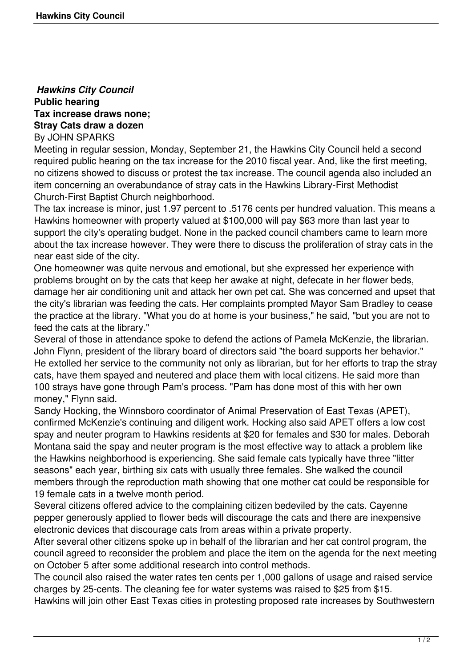## *Hawkins City Council* **Public hearing Tax increase draws none; Stray Cats draw a dozen** By JOHN SPARKS

Meeting in regular session, Monday, September 21, the Hawkins City Council held a second required public hearing on the tax increase for the 2010 fiscal year. And, like the first meeting, no citizens showed to discuss or protest the tax increase. The council agenda also included an item concerning an overabundance of stray cats in the Hawkins Library-First Methodist Church-First Baptist Church neighborhood.

The tax increase is minor, just 1.97 percent to .5176 cents per hundred valuation. This means a Hawkins homeowner with property valued at \$100,000 will pay \$63 more than last year to support the city's operating budget. None in the packed council chambers came to learn more about the tax increase however. They were there to discuss the proliferation of stray cats in the near east side of the city.

One homeowner was quite nervous and emotional, but she expressed her experience with problems brought on by the cats that keep her awake at night, defecate in her flower beds, damage her air conditioning unit and attack her own pet cat. She was concerned and upset that the city's librarian was feeding the cats. Her complaints prompted Mayor Sam Bradley to cease the practice at the library. "What you do at home is your business," he said, "but you are not to feed the cats at the library."

Several of those in attendance spoke to defend the actions of Pamela McKenzie, the librarian. John Flynn, president of the library board of directors said "the board supports her behavior." He extolled her service to the community not only as librarian, but for her efforts to trap the stray cats, have them spayed and neutered and place them with local citizens. He said more than 100 strays have gone through Pam's process. "Pam has done most of this with her own money," Flynn said.

Sandy Hocking, the Winnsboro coordinator of Animal Preservation of East Texas (APET), confirmed McKenzie's continuing and diligent work. Hocking also said APET offers a low cost spay and neuter program to Hawkins residents at \$20 for females and \$30 for males. Deborah Montana said the spay and neuter program is the most effective way to attack a problem like the Hawkins neighborhood is experiencing. She said female cats typically have three "litter seasons" each year, birthing six cats with usually three females. She walked the council members through the reproduction math showing that one mother cat could be responsible for 19 female cats in a twelve month period.

Several citizens offered advice to the complaining citizen bedeviled by the cats. Cayenne pepper generously applied to flower beds will discourage the cats and there are inexpensive electronic devices that discourage cats from areas within a private property.

After several other citizens spoke up in behalf of the librarian and her cat control program, the council agreed to reconsider the problem and place the item on the agenda for the next meeting on October 5 after some additional research into control methods.

The council also raised the water rates ten cents per 1,000 gallons of usage and raised service charges by 25-cents. The cleaning fee for water systems was raised to \$25 from \$15.

Hawkins will join other East Texas cities in protesting proposed rate increases by Southwestern